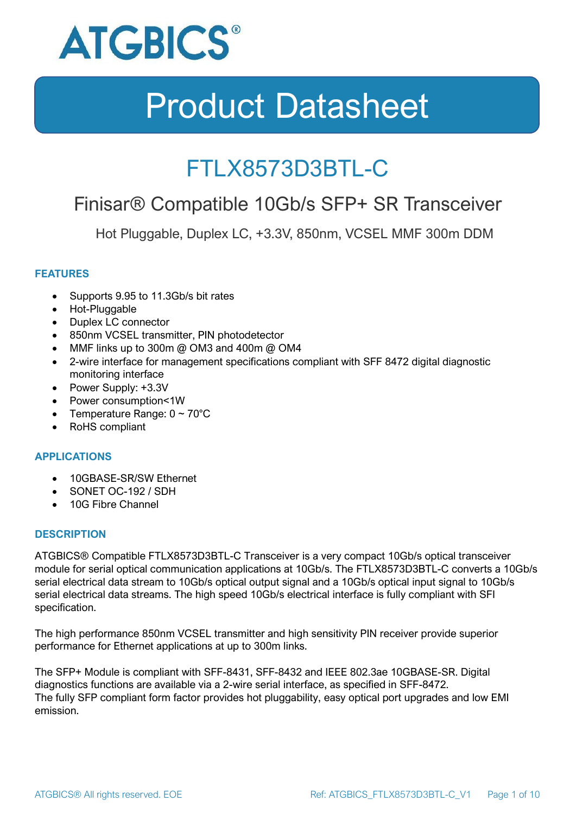

### FTLX8573D3BTL-C

### Finisar® Compatible 10Gb/s SFP+ SR Transceiver

Hot Pluggable, Duplex LC, +3.3V, 850nm, VCSEL MMF 300m DDM

### **FEATURES**

- Supports 9.95 to 11.3Gb/s bit rates
- Hot-Pluggable
- Duplex LC connector
- 850nm VCSEL transmitter, PIN photodetector
- MMF links up to 300m @ OM3 and 400m @ OM4
- 2-wire interface for management specifications compliant with SFF 8472 digital diagnostic monitoring interface
- Power Supply: +3.3V
- Power consumption<1W
- Temperature Range:  $0 \sim 70^{\circ}$ C
- RoHS compliant

#### **APPLICATIONS**

- 10GBASE-SR/SW Ethernet
- SONET OC-192 / SDH
- 10G Fibre Channel

#### **DESCRIPTION**

ATGBICS® Compatible FTLX8573D3BTL-C Transceiver is a very compact 10Gb/s optical transceiver module for serial optical communication applications at 10Gb/s. The FTLX8573D3BTL-C converts a 10Gb/s serial electrical data stream to 10Gb/s optical output signal and a 10Gb/s optical input signal to 10Gb/s serial electrical data streams. The high speed 10Gb/s electrical interface is fully compliant with SFI specification.

The high performance 850nm VCSEL transmitter and high sensitivity PIN receiver provide superior performance for Ethernet applications at up to 300m links.

The SFP+ Module is compliant with SFF-8431, SFF-8432 and IEEE 802.3ae 10GBASE-SR. Digital diagnostics functions are available via a 2-wire serial interface, as specified in SFF-8472. The fully SFP compliant form factor provides hot pluggability, easy optical port upgrades and low EMI emission.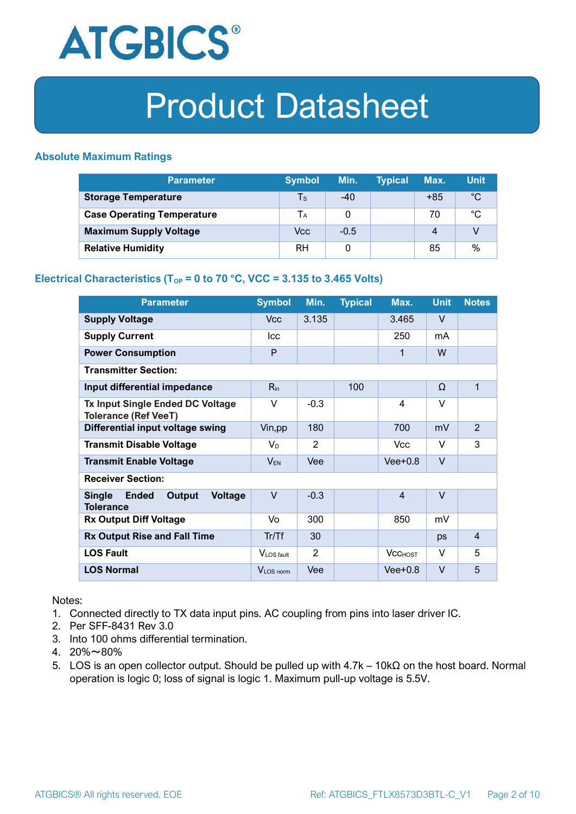

### **Absolute Maximum Ratings**

| <b>Parameter</b>                  | <b>Symbol</b> | Min.   | <b>Typical</b> | Max.  | <b>Unit</b> |
|-----------------------------------|---------------|--------|----------------|-------|-------------|
| <b>Storage Temperature</b>        | Ts            | $-40$  |                | $+85$ | $^{\circ}C$ |
| <b>Case Operating Temperature</b> | Tа            |        |                | 70    | °C          |
| <b>Maximum Supply Voltage</b>     | Vcc           | $-0.5$ |                | 4     |             |
| <b>Relative Humidity</b>          | <b>RH</b>     |        |                | 85    | $\%$        |

### **Electrical Characteristics (T<sub>OP</sub> = 0 to 70 °C, VCC = 3.135 to 3.465 Volts)**

| <b>Parameter</b>                                                              | <b>Symbol</b>         | Min.   | <b>Typical</b> | Max.           | <b>Unit</b> | <b>Notes</b>   |
|-------------------------------------------------------------------------------|-----------------------|--------|----------------|----------------|-------------|----------------|
| <b>Supply Voltage</b>                                                         | V <sub>cc</sub>       | 3.135  |                | 3.465          | $\vee$      |                |
| <b>Supply Current</b>                                                         | <b>Icc</b>            |        |                | 250            | mA          |                |
| <b>Power Consumption</b>                                                      | P                     |        |                | 1              | W           |                |
| <b>Transmitter Section:</b>                                                   |                       |        |                |                |             |                |
| Input differential impedance                                                  | $R_{in}$              |        | 100            |                | Ω           | 1              |
| <b>Tx Input Single Ended DC Voltage</b><br><b>Tolerance (Ref VeeT)</b>        | $\vee$                | $-0.3$ |                | $\overline{4}$ | $\vee$      |                |
| Differential input voltage swing                                              | Vin, pp               | 180    |                | 700            | mV          | $\overline{2}$ |
| <b>Transmit Disable Voltage</b>                                               | $V_D$                 | 2      |                | <b>Vcc</b>     | $\vee$      | 3              |
| <b>Transmit Enable Voltage</b>                                                | $V_{EN}$              | Vee    |                | $Vee+0.8$      | $\vee$      |                |
| <b>Receiver Section:</b>                                                      |                       |        |                |                |             |                |
| <b>Single</b><br><b>Ended</b><br>Output<br><b>Voltage</b><br><b>Tolerance</b> | $\vee$                | $-0.3$ |                | $\overline{4}$ | $\vee$      |                |
| <b>Rx Output Diff Voltage</b>                                                 | Vo                    | 300    |                | 850            | mV          |                |
| <b>Rx Output Rise and Fall Time</b>                                           | Tr/Tf                 | 30     |                |                | ps          | $\overline{4}$ |
| <b>LOS Fault</b>                                                              | VLOS fault            | 2      |                | <b>VCCHOST</b> | V           | 5              |
| <b>LOS Normal</b>                                                             | V <sub>LOS</sub> norm | Vee    |                | $Vee+0.8$      | $\vee$      | 5              |

Notes:

- 1. Connected directly to TX data input pins. AC coupling from pins into laser driver IC.
- 2. Per SFF-8431 Rev 3.0
- 3. Into 100 ohms differential termination.
- 4. 20%~80%
- 5. LOS is an open collector output. Should be pulled up with 4.7k 10kΩ on the host board. Normal operation is logic 0; loss of signal is logic 1. Maximum pull-up voltage is 5.5V.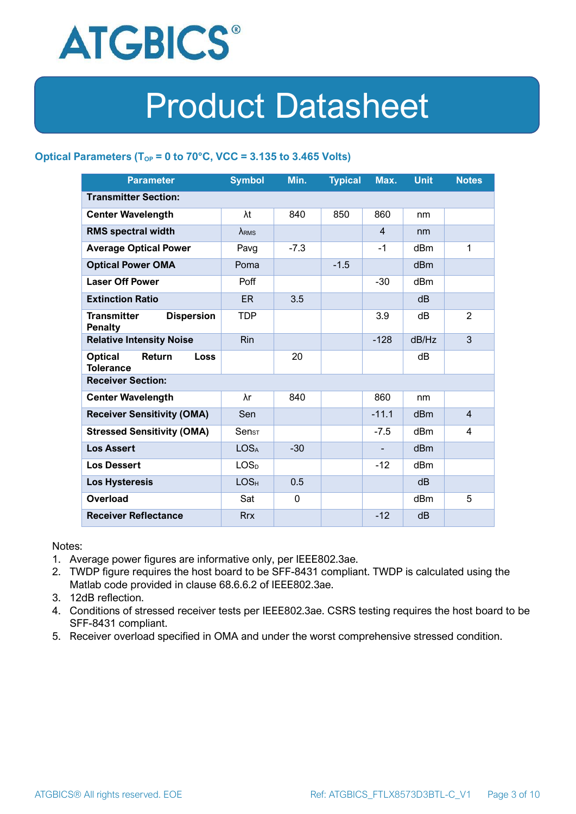

### **Optical Parameters** ( $T_{OP} = 0$  to 70°C, VCC = 3.135 to 3.465 Volts)

| <b>Parameter</b>                                            | <b>Symbol</b>                | Min.        | <b>Typical</b> | Max.           | <b>Unit</b>     | <b>Notes</b>   |
|-------------------------------------------------------------|------------------------------|-------------|----------------|----------------|-----------------|----------------|
| <b>Transmitter Section:</b>                                 |                              |             |                |                |                 |                |
| <b>Center Wavelength</b>                                    | λt                           | 840         | 850            | 860            | nm              |                |
| <b>RMS spectral width</b>                                   | $\lambda_{RMS}$              |             |                | $\overline{4}$ | nm              |                |
| <b>Average Optical Power</b>                                | Pavg                         | $-7.3$      |                | $-1$           | dBm             | 1              |
| <b>Optical Power OMA</b>                                    | Poma                         |             | $-1.5$         |                | dBm             |                |
| <b>Laser Off Power</b>                                      | Poff                         |             |                | $-30$          | dBm             |                |
| <b>Extinction Ratio</b>                                     | ER.                          | 3.5         |                |                | dB              |                |
| <b>Dispersion</b><br><b>Transmitter</b><br><b>Penalty</b>   | <b>TDP</b>                   |             |                | 3.9            | dB              | $\overline{2}$ |
| <b>Relative Intensity Noise</b>                             | <b>Rin</b>                   |             |                | $-128$         | dB/Hz           | 3              |
| <b>Optical</b><br>Return<br><b>Loss</b><br><b>Tolerance</b> |                              | 20          |                |                | dB              |                |
| <b>Receiver Section:</b>                                    |                              |             |                |                |                 |                |
| <b>Center Wavelength</b>                                    | λr                           | 840         |                | 860            | nm              |                |
| <b>Receiver Sensitivity (OMA)</b>                           | Sen                          |             |                | $-11.1$        | dB <sub>m</sub> | $\overline{4}$ |
| <b>Stressed Sensitivity (OMA)</b>                           | $\mathsf{Sen}_{\mathsf{ST}}$ |             |                | $-7.5$         | dB <sub>m</sub> | 4              |
| <b>Los Assert</b>                                           | <b>LOSA</b>                  | $-30$       |                |                | d <sub>Bm</sub> |                |
| <b>Los Dessert</b>                                          | LOS <sub>D</sub>             |             |                | $-12$          | dBm             |                |
| <b>Los Hysteresis</b>                                       | LOS <sub>H</sub>             | 0.5         |                |                | dB              |                |
| Overload                                                    | Sat                          | $\mathbf 0$ |                |                | dBm             | 5              |
| <b>Receiver Reflectance</b>                                 | <b>Rrx</b>                   |             |                | $-12$          | dB              |                |

Notes:

- 1. Average power figures are informative only, per IEEE802.3ae.
- 2. TWDP figure requires the host board to be SFF-8431 compliant. TWDP is calculated using the Matlab code provided in clause 68.6.6.2 of IEEE802.3ae.
- 3. 12dB reflection.
- 4. Conditions of stressed receiver tests per IEEE802.3ae. CSRS testing requires the host board to be SFF-8431 compliant.
- 5. Receiver overload specified in OMA and under the worst comprehensive stressed condition.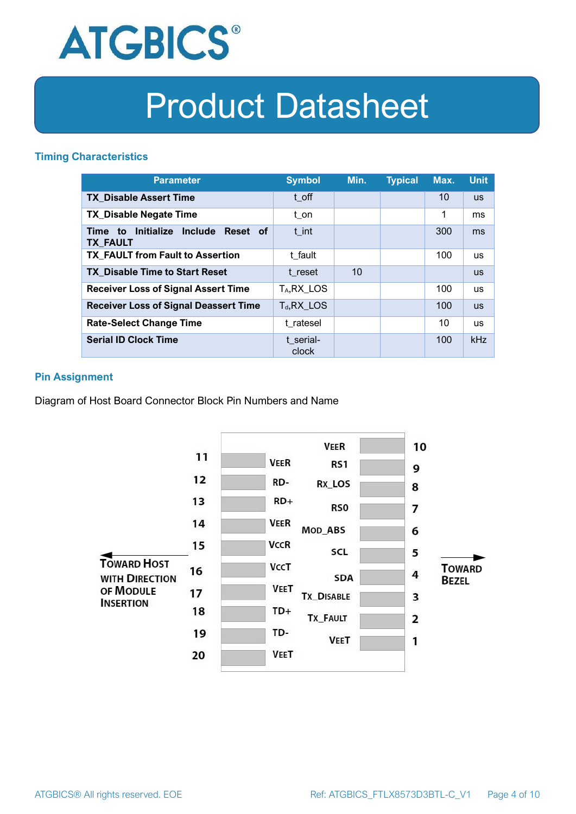

### **Timing Characteristics**

| <b>Parameter</b>                                                          | <b>Symbol</b>         | Min. | <b>Typical</b> | Max. | <b>Unit</b> |
|---------------------------------------------------------------------------|-----------------------|------|----------------|------|-------------|
| <b>TX Disable Assert Time</b>                                             | t off                 |      |                | 10   | <b>US</b>   |
| <b>TX Disable Negate Time</b>                                             | t_on                  |      |                | 1    | ms          |
| Initialize<br><b>Include</b><br>Reset of<br>Time<br>to<br><b>TX FAULT</b> | t int                 |      |                | 300  | ms          |
| <b>TX FAULT from Fault to Assertion</b>                                   | t fault               |      |                | 100  | <b>us</b>   |
| <b>TX Disable Time to Start Reset</b>                                     | t reset               | 10   |                |      | <b>US</b>   |
| <b>Receiver Loss of Signal Assert Time</b>                                | T <sub>A</sub> RX LOS |      |                | 100  | <b>us</b>   |
| <b>Receiver Loss of Signal Deassert Time</b>                              | $T_d, RX$ LOS         |      |                | 100  | <b>US</b>   |
| <b>Rate-Select Change Time</b>                                            | t ratesel             |      |                | 10   | <b>us</b>   |
| <b>Serial ID Clock Time</b>                                               | t serial-<br>clock    |      |                | 100  | kHz         |

### **Pin Assignment**

Diagram of Host Board Connector Block Pin Numbers and Name

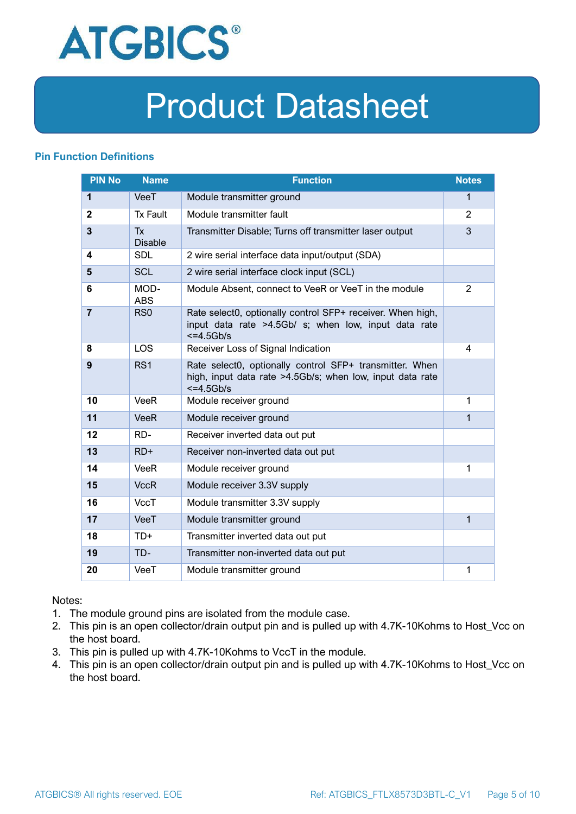

### **Pin Function Definitions**

| <b>PIN No</b>  | <b>Name</b>                 | <b>Function</b>                                                                                                                     | <b>Notes</b>   |
|----------------|-----------------------------|-------------------------------------------------------------------------------------------------------------------------------------|----------------|
| 1              | VeeT                        | Module transmitter ground                                                                                                           | $\mathbf 1$    |
| $\mathbf{2}$   | <b>Tx Fault</b>             | Module transmitter fault                                                                                                            | 2              |
| $\overline{3}$ | <b>Tx</b><br><b>Disable</b> | Transmitter Disable; Turns off transmitter laser output                                                                             | 3              |
| 4              | <b>SDL</b>                  | 2 wire serial interface data input/output (SDA)                                                                                     |                |
| 5              | <b>SCL</b>                  | 2 wire serial interface clock input (SCL)                                                                                           |                |
| 6              | MOD-<br><b>ABS</b>          | Module Absent, connect to VeeR or VeeT in the module                                                                                | $\overline{2}$ |
| $\overline{7}$ | RS <sub>0</sub>             | Rate select0, optionally control SFP+ receiver. When high,<br>input data rate >4.5Gb/ s; when low, input data rate<br>$<=4.5Gb/s$   |                |
| 8              | <b>LOS</b>                  | Receiver Loss of Signal Indication                                                                                                  | 4              |
| 9              | RS <sub>1</sub>             | Rate select0, optionally control SFP+ transmitter. When<br>high, input data rate >4.5Gb/s; when low, input data rate<br>$<=4.5Gb/s$ |                |
| 10             | VeeR                        | Module receiver ground                                                                                                              | 1              |
| 11             | <b>VeeR</b>                 | Module receiver ground                                                                                                              | 1              |
| 12             | RD-                         | Receiver inverted data out put                                                                                                      |                |
| 13             | $RD+$                       | Receiver non-inverted data out put                                                                                                  |                |
| 14             | <b>VeeR</b>                 | Module receiver ground                                                                                                              | 1              |
| 15             | <b>VccR</b>                 | Module receiver 3.3V supply                                                                                                         |                |
| 16             | <b>VccT</b>                 | Module transmitter 3.3V supply                                                                                                      |                |
| 17             | VeeT                        | Module transmitter ground                                                                                                           | $\mathbf{1}$   |
| 18             | TD+                         | Transmitter inverted data out put                                                                                                   |                |
| 19             | TD-                         | Transmitter non-inverted data out put                                                                                               |                |
| 20             | VeeT                        | Module transmitter ground                                                                                                           | 1              |

Notes:

- 1. The module ground pins are isolated from the module case.
- 2. This pin is an open collector/drain output pin and is pulled up with 4.7K-10Kohms to Host\_Vcc on the host board.
- 3. This pin is pulled up with 4.7K-10Kohms to VccT in the module.
- 4. This pin is an open collector/drain output pin and is pulled up with 4.7K-10Kohms to Host Vcc on the host board.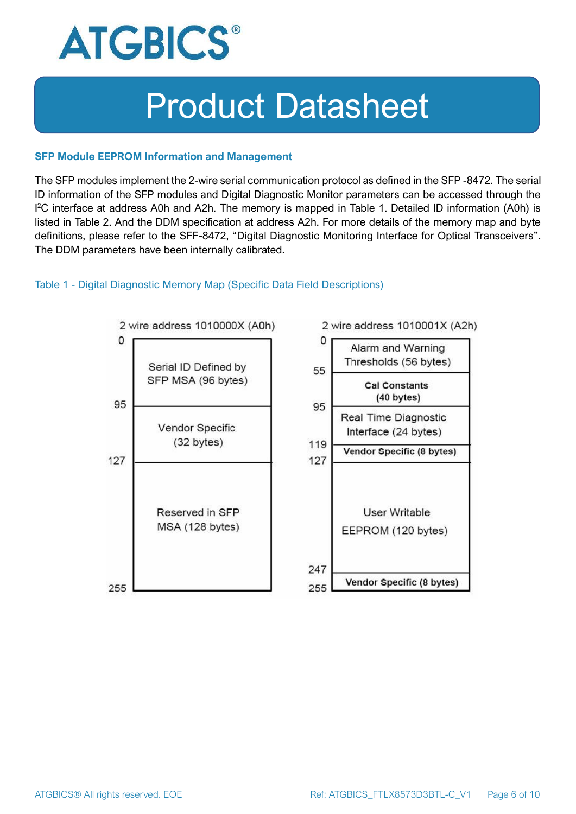

#### **SFP Module EEPROM Information and Management**

The SFP modules implement the 2-wire serial communication protocol as defined in the SFP -8472. The serial ID information of the SFP modules and Digital Diagnostic Monitor parameters can be accessed through the I <sup>2</sup>C interface at address A0h and A2h. The memory is mapped in Table 1. Detailed ID information (A0h) is listed in Table 2. And the DDM specification at address A2h. For more details of the memory map and byte definitions, please refer to the SFF-8472, "Digital Diagnostic Monitoring Interface for Optical Transceivers". The DDM parameters have been internally calibrated.

#### Table 1 - Digital Diagnostic Memory Map (Specific Data Field Descriptions)

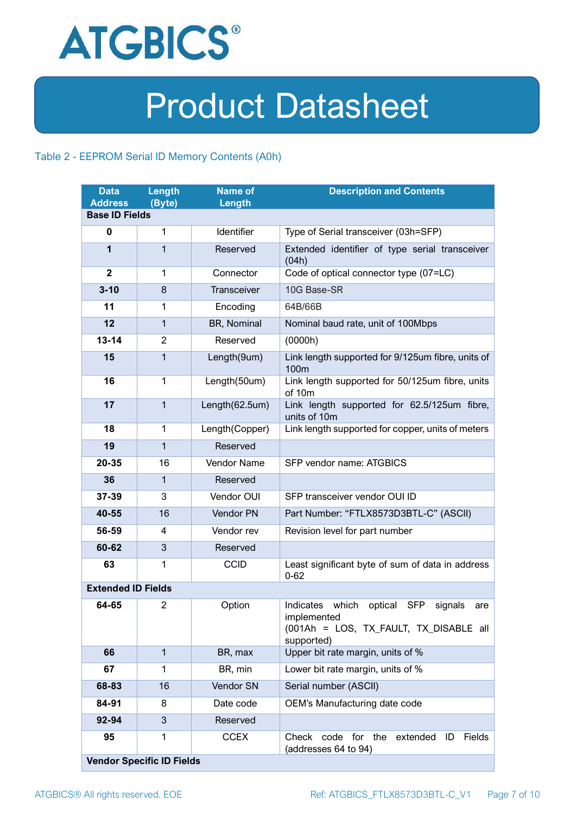

### Table 2 - EEPROM Serial ID Memory Contents (A0h)

| <b>Data</b><br><b>Address</b> | Length<br>(Byte)                 | <b>Name of</b><br>Length | <b>Description and Contents</b>                                                                                                   |
|-------------------------------|----------------------------------|--------------------------|-----------------------------------------------------------------------------------------------------------------------------------|
| <b>Base ID Fields</b>         |                                  |                          |                                                                                                                                   |
| $\bf{0}$                      | 1                                | Identifier               | Type of Serial transceiver (03h=SFP)                                                                                              |
| 1                             | 1                                | Reserved                 | Extended identifier of type serial transceiver<br>(04h)                                                                           |
| $\mathbf{2}$                  | 1                                | Connector                | Code of optical connector type (07=LC)                                                                                            |
| $3 - 10$                      | 8                                | Transceiver              | 10G Base-SR                                                                                                                       |
| 11                            | 1                                | Encoding                 | 64B/66B                                                                                                                           |
| 12                            | 1                                | BR, Nominal              | Nominal baud rate, unit of 100Mbps                                                                                                |
| $13 - 14$                     | $\overline{2}$                   | Reserved                 | (0000h)                                                                                                                           |
| 15                            | $\mathbf{1}$                     | Length(9um)              | Link length supported for 9/125um fibre, units of<br>100m                                                                         |
| 16                            | $\mathbf{1}$                     | Length(50um)             | Link length supported for 50/125um fibre, units<br>of 10m                                                                         |
| 17                            | $\mathbf{1}$                     | Length(62.5um)           | Link length supported for 62.5/125um fibre,<br>units of 10m                                                                       |
| 18                            | $\mathbf{1}$                     | Length(Copper)           | Link length supported for copper, units of meters                                                                                 |
| 19                            | $\mathbf{1}$                     | Reserved                 |                                                                                                                                   |
| 20-35                         | 16                               | <b>Vendor Name</b>       | SFP vendor name: ATGBICS                                                                                                          |
| 36                            | $\mathbf{1}$                     | Reserved                 |                                                                                                                                   |
| 37-39                         | 3                                | Vendor OUI               | SFP transceiver vendor OUI ID                                                                                                     |
| 40-55                         | 16                               | Vendor PN                | Part Number: "FTLX8573D3BTL-C" (ASCII)                                                                                            |
| 56-59                         | 4                                | Vendor rev               | Revision level for part number                                                                                                    |
| 60-62                         | 3                                | Reserved                 |                                                                                                                                   |
| 63                            | 1                                | <b>CCID</b>              | Least significant byte of sum of data in address<br>$0 - 62$                                                                      |
| <b>Extended ID Fields</b>     |                                  |                          |                                                                                                                                   |
| 64-65                         | $\overline{2}$                   | Option                   | Indicates which<br>optical<br><b>SFP</b><br>signals<br>are<br>implemented<br>(001Ah = LOS, TX_FAULT, TX_DISABLE all<br>supported) |
| 66                            | $\mathbf{1}$                     | BR, max                  | Upper bit rate margin, units of %                                                                                                 |
| 67                            | 1                                | BR, min                  | Lower bit rate margin, units of %                                                                                                 |
| 68-83                         | 16                               | Vendor SN                | Serial number (ASCII)                                                                                                             |
| 84-91                         | 8                                | Date code                | OEM's Manufacturing date code                                                                                                     |
| 92-94                         | 3                                | Reserved                 |                                                                                                                                   |
| 95                            | 1                                | <b>CCEX</b>              | code for the<br><b>Fields</b><br>Check<br>extended<br>ID<br>(addresses 64 to 94)                                                  |
|                               | <b>Vendor Specific ID Fields</b> |                          |                                                                                                                                   |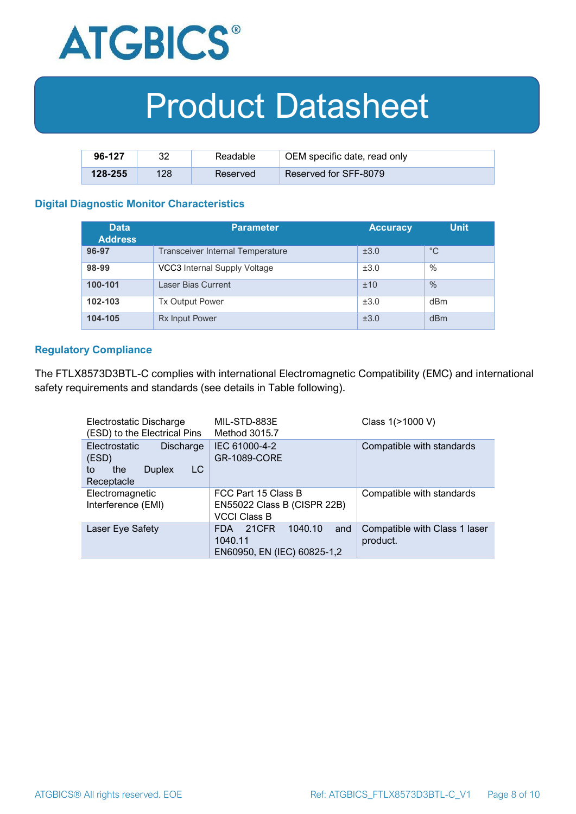

| 96-127      | າາ  | Readable | OEM specific date, read only |
|-------------|-----|----------|------------------------------|
| $128 - 255$ | 128 | Reserved | Reserved for SFF-8079        |

#### **Digital Diagnostic Monitor Characteristics**

| <b>Data</b><br><b>Address</b> | <b>Parameter</b>                        | <b>Accuracy</b> | <b>Unit</b> |
|-------------------------------|-----------------------------------------|-----------------|-------------|
| 96-97                         | <b>Transceiver Internal Temperature</b> | ±3.0            | $^{\circ}C$ |
| 98-99                         | VCC3 Internal Supply Voltage            | ±3.0            | %           |
| 100-101                       | Laser Bias Current                      | ±10             | %           |
| 102-103                       | <b>Tx Output Power</b>                  | ±3.0            | dBm         |
| 104-105                       | <b>Rx Input Power</b>                   | ±3.0            | dBm         |

#### **Regulatory Compliance**

The FTLX8573D3BTL-C complies with international Electromagnetic Compatibility (EMC) and international safety requirements and standards (see details in Table following).

| Electrostatic Discharge<br>(ESD) to the Electrical Pins                                      | MIL-STD-883E<br>Method 3015.7                                                   | Class 1(>1000 V)                          |
|----------------------------------------------------------------------------------------------|---------------------------------------------------------------------------------|-------------------------------------------|
| <b>Electrostatic</b><br>Discharge<br>(ESD)<br>LC<br>the<br><b>Duplex</b><br>to<br>Receptacle | IEC 61000-4-2<br><b>GR-1089-CORE</b>                                            | Compatible with standards                 |
| Electromagnetic<br>Interference (EMI)                                                        | FCC Part 15 Class B<br>EN55022 Class B (CISPR 22B)<br><b>VCCI Class B</b>       | Compatible with standards                 |
| Laser Eye Safety                                                                             | 1040.10<br>21CFR<br><b>FDA</b><br>and<br>1040.11<br>EN60950, EN (IEC) 60825-1,2 | Compatible with Class 1 laser<br>product. |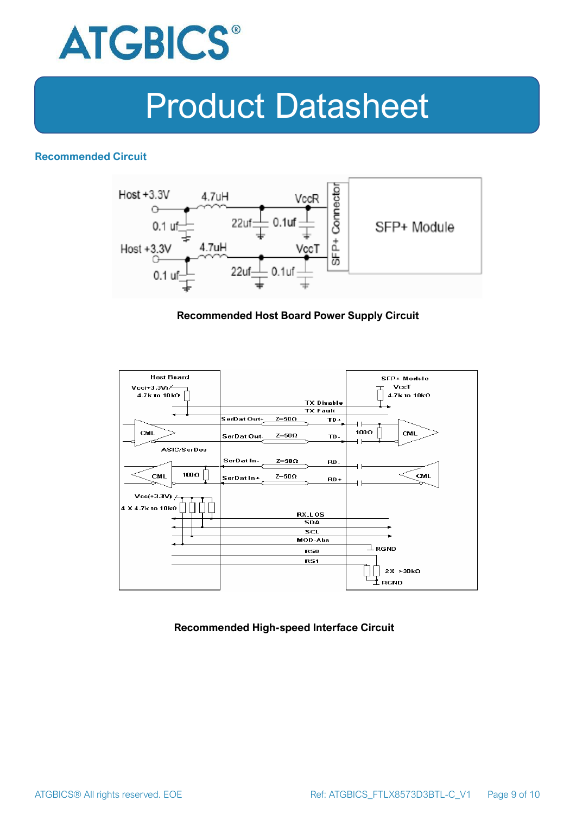

### **Recommended Circuit**



#### **Recommended Host Board Power Supply Circuit**



#### **Recommended High-speed Interface Circuit**